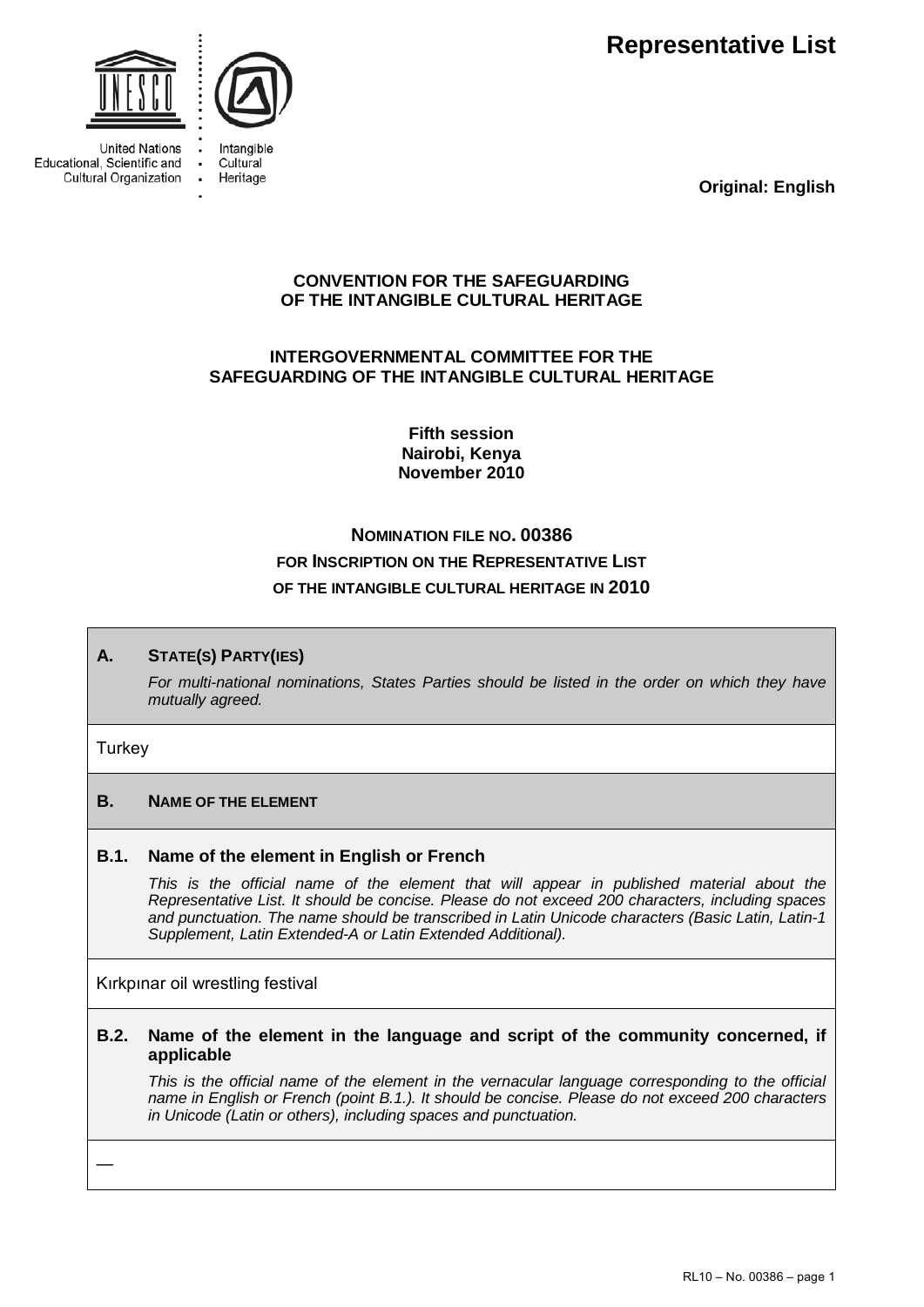**Representative List** 



**United Nations** Educational, Scientific and Cultural Organization



Intangible Cultural Heritage

**Original: English**

# **CONVENTION FOR THE SAFEGUARDING OF THE INTANGIBLE CULTURAL HERITAGE**

# **INTERGOVERNMENTAL COMMITTEE FOR THE SAFEGUARDING OF THE INTANGIBLE CULTURAL HERITAGE**

**Fifth session Nairobi, Kenya November 2010** 

# **NOMINATION FILE NO. 00386 FOR INSCRIPTION ON THE REPRESENTATIVE LIST OF THE INTANGIBLE CULTURAL HERITAGE IN 2010**

# **A. STATE(S) PARTY(IES)**

*For multi-national nominations, States Parties should be listed in the order on which they have mutually agreed.* 

### **Turkey**

# **B. NAME OF THE ELEMENT**

# **B.1. Name of the element in English or French**

This is the official name of the element that will appear in published material about the *Representative List. It should be concise. Please do not exceed 200 characters, including spaces and punctuation. The name should be transcribed in Latin Unicode characters (Basic Latin, Latin-1 Supplement, Latin Extended-A or Latin Extended Additional).* 

Kırkpınar oil wrestling festival

### **B.2. Name of the element in the language and script of the community concerned, if applicable**

*This is the official name of the element in the vernacular language corresponding to the official name in English or French (point B.1.). It should be concise. Please do not exceed 200 characters in Unicode (Latin or others), including spaces and punctuation.* 

—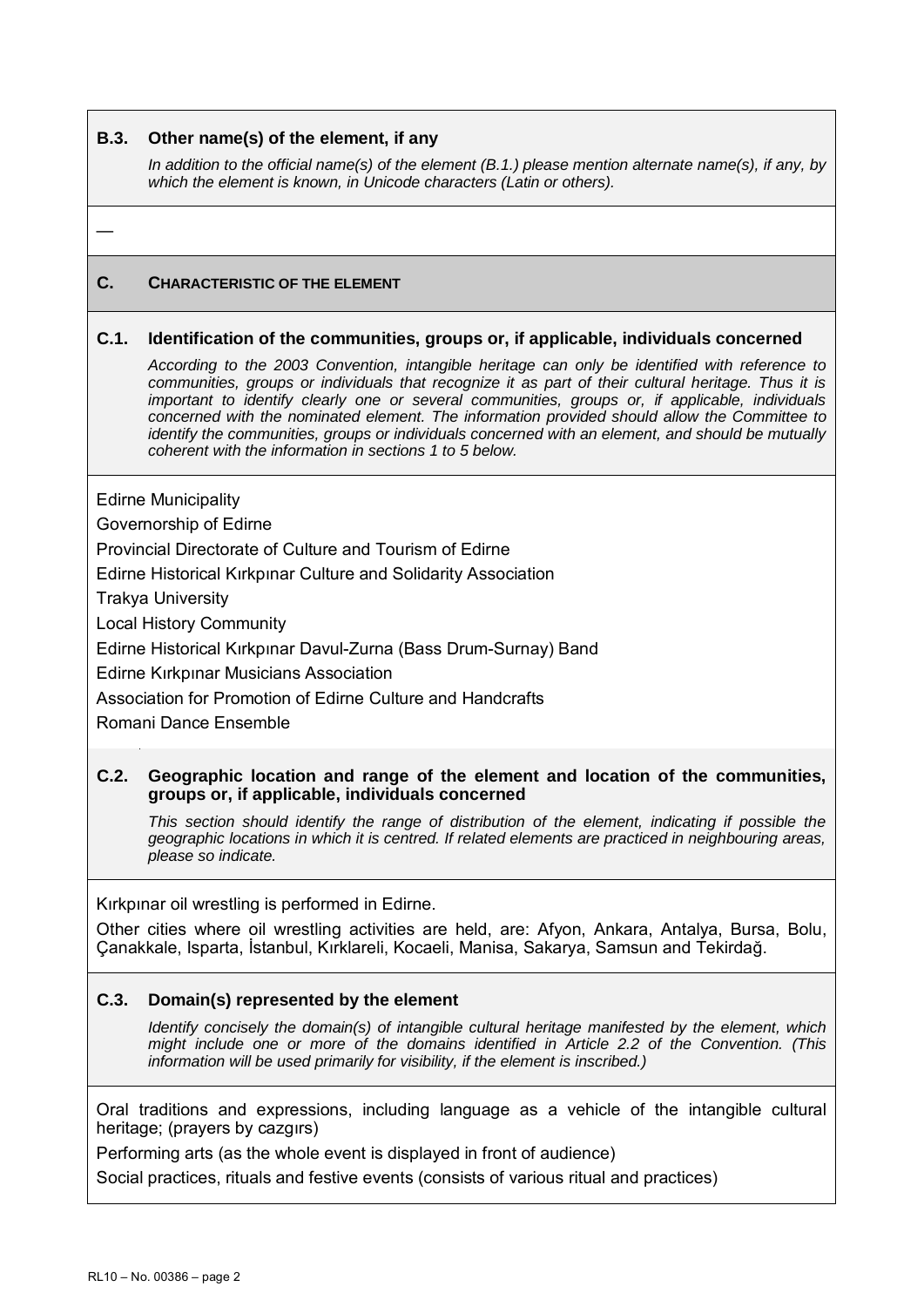### **B.3. Other name(s) of the element, if any**

*In addition to the official name(s) of the element (B.1.) please mention alternate name(s), if any, by which the element is known, in Unicode characters (Latin or others).* 

—

# **C. CHARACTERISTIC OF THE ELEMENT**

### **C.1. Identification of the communities, groups or, if applicable, individuals concerned**

*According to the 2003 Convention, intangible heritage can only be identified with reference to communities, groups or individuals that recognize it as part of their cultural heritage. Thus it is important to identify clearly one or several communities, groups or, if applicable, individuals concerned with the nominated element. The information provided should allow the Committee to identify the communities, groups or individuals concerned with an element, and should be mutually coherent with the information in sections 1 to 5 below.* 

Edirne Municipality

Governorship of Edirne

Provincial Directorate of Culture and Tourism of Edirne

Edirne Historical Kırkpınar Culture and Solidarity Association

Trakya University

Local History Community

Edirne Historical Kırkpınar Davul-Zurna (Bass Drum-Surnay) Band

Edirne Kırkpınar Musicians Association

Association for Promotion of Edirne Culture and Handcrafts

Romani Dance Ensemble

### **C.2. Geographic location and range of the element and location of the communities, groups or, if applicable, individuals concerned**

*This section should identify the range of distribution of the element, indicating if possible the geographic locations in which it is centred. If related elements are practiced in neighbouring areas, please so indicate.* 

Kırkpınar oil wrestling is performed in Edirne.

Other cities where oil wrestling activities are held, are: Afyon, Ankara, Antalya, Bursa, Bolu, Çanakkale, Isparta, İstanbul, Kırklareli, Kocaeli, Manisa, Sakarya, Samsun and Tekirdağ.

# **C.3. Domain(s) represented by the element**

*Identify concisely the domain(s) of intangible cultural heritage manifested by the element, which might include one or more of the domains identified in Article 2.2 of the Convention. (This information will be used primarily for visibility, if the element is inscribed.)* 

Oral traditions and expressions, including language as a vehicle of the intangible cultural heritage; (prayers by cazgırs)

Performing arts (as the whole event is displayed in front of audience)

Social practices, rituals and festive events (consists of various ritual and practices)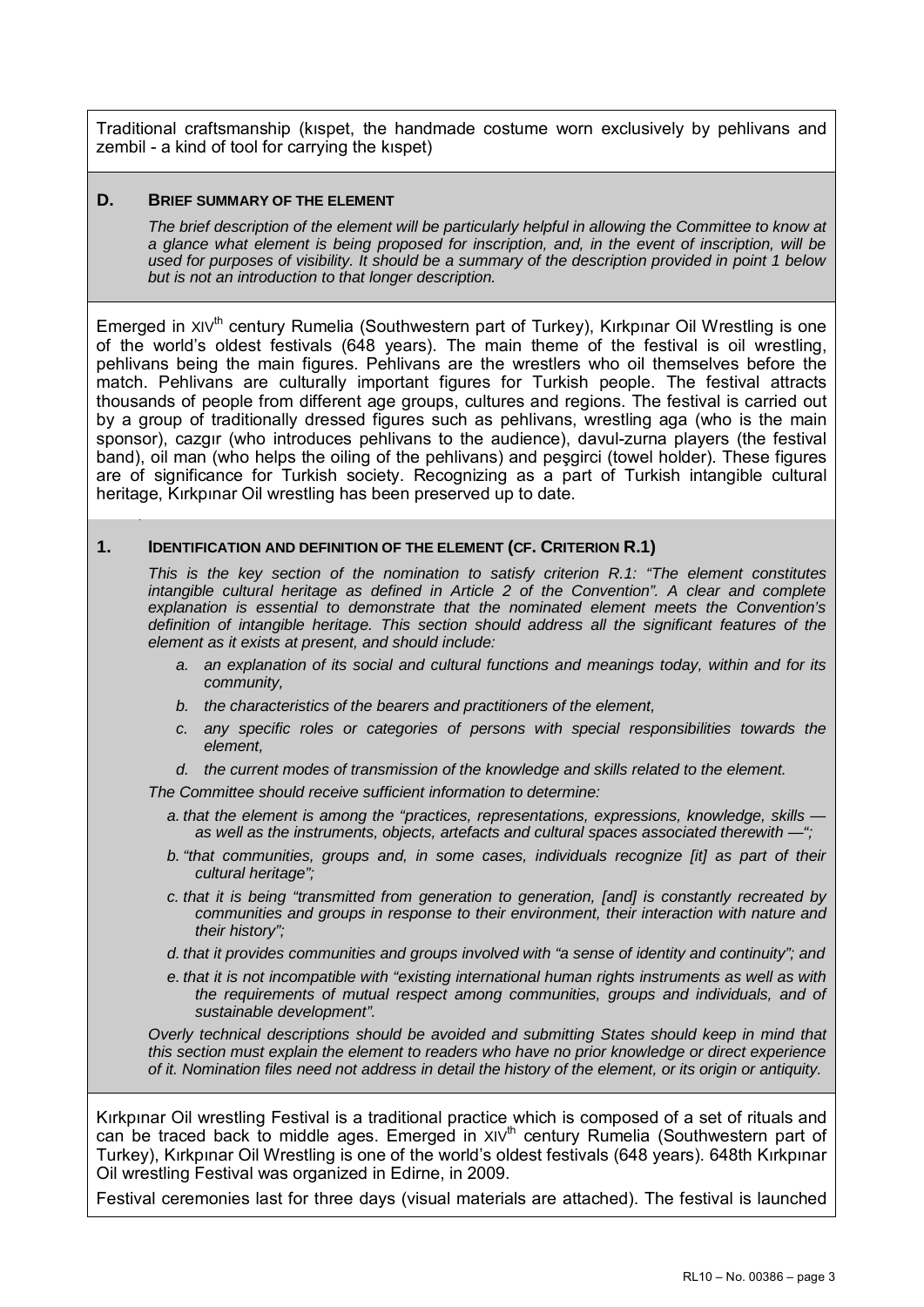Traditional craftsmanship (kıspet, the handmade costume worn exclusively by pehlivans and zembil - a kind of tool for carrying the kıspet)

### **D. BRIEF SUMMARY OF THE ELEMENT**

*The brief description of the element will be particularly helpful in allowing the Committee to know at a glance what element is being proposed for inscription, and, in the event of inscription, will be used for purposes of visibility. It should be a summary of the description provided in point 1 below but is not an introduction to that longer description.* 

Emerged in XIV<sup>th</sup> century Rumelia (Southwestern part of Turkey), Kırkpınar Oil Wrestling is one of the world's oldest festivals (648 years). The main theme of the festival is oil wrestling, pehlivans being the main figures. Pehlivans are the wrestlers who oil themselves before the match. Pehlivans are culturally important figures for Turkish people. The festival attracts thousands of people from different age groups, cultures and regions. The festival is carried out by a group of traditionally dressed figures such as pehlivans, wrestling aga (who is the main sponsor), cazgır (who introduces pehlivans to the audience), davul-zurna players (the festival band), oil man (who helps the oiling of the pehlivans) and peşgirci (towel holder). These figures are of significance for Turkish society. Recognizing as a part of Turkish intangible cultural heritage, Kırkpınar Oil wrestling has been preserved up to date.

### **1. IDENTIFICATION AND DEFINITION OF THE ELEMENT (CF. CRITERION R.1)**

*This is the key section of the nomination to satisfy criterion R.1: "The element constitutes*  intangible cultural heritage as defined in Article 2 of the Convention". A clear and complete *explanation is essential to demonstrate that the nominated element meets the Convention's definition of intangible heritage. This section should address all the significant features of the element as it exists at present, and should include:* 

- *a. an explanation of its social and cultural functions and meanings today, within and for its community,*
- *b. the characteristics of the bearers and practitioners of the element,*
- *c. any specific roles or categories of persons with special responsibilities towards the element,*
- *d. the current modes of transmission of the knowledge and skills related to the element.*

*The Committee should receive sufficient information to determine:* 

- *a. that the element is among the "practices, representations, expressions, knowledge, skills as well as the instruments, objects, artefacts and cultural spaces associated therewith —";*
- *b. "that communities, groups and, in some cases, individuals recognize [it] as part of their cultural heritage";*
- *c. that it is being "transmitted from generation to generation, [and] is constantly recreated by communities and groups in response to their environment, their interaction with nature and their history";*
- *d. that it provides communities and groups involved with "a sense of identity and continuity"; and*
- *e. that it is not incompatible with "existing international human rights instruments as well as with the requirements of mutual respect among communities, groups and individuals, and of sustainable development".*

*Overly technical descriptions should be avoided and submitting States should keep in mind that this section must explain the element to readers who have no prior knowledge or direct experience of it. Nomination files need not address in detail the history of the element, or its origin or antiquity.* 

Kırkpınar Oil wrestling Festival is a traditional practice which is composed of a set of rituals and can be traced back to middle ages. Emerged in  $XY^{th}$  century Rumelia (Southwestern part of Turkey), Kırkpınar Oil Wrestling is one of the world's oldest festivals (648 years). 648th Kırkpınar Oil wrestling Festival was organized in Edirne, in 2009.

Festival ceremonies last for three days (visual materials are attached). The festival is launched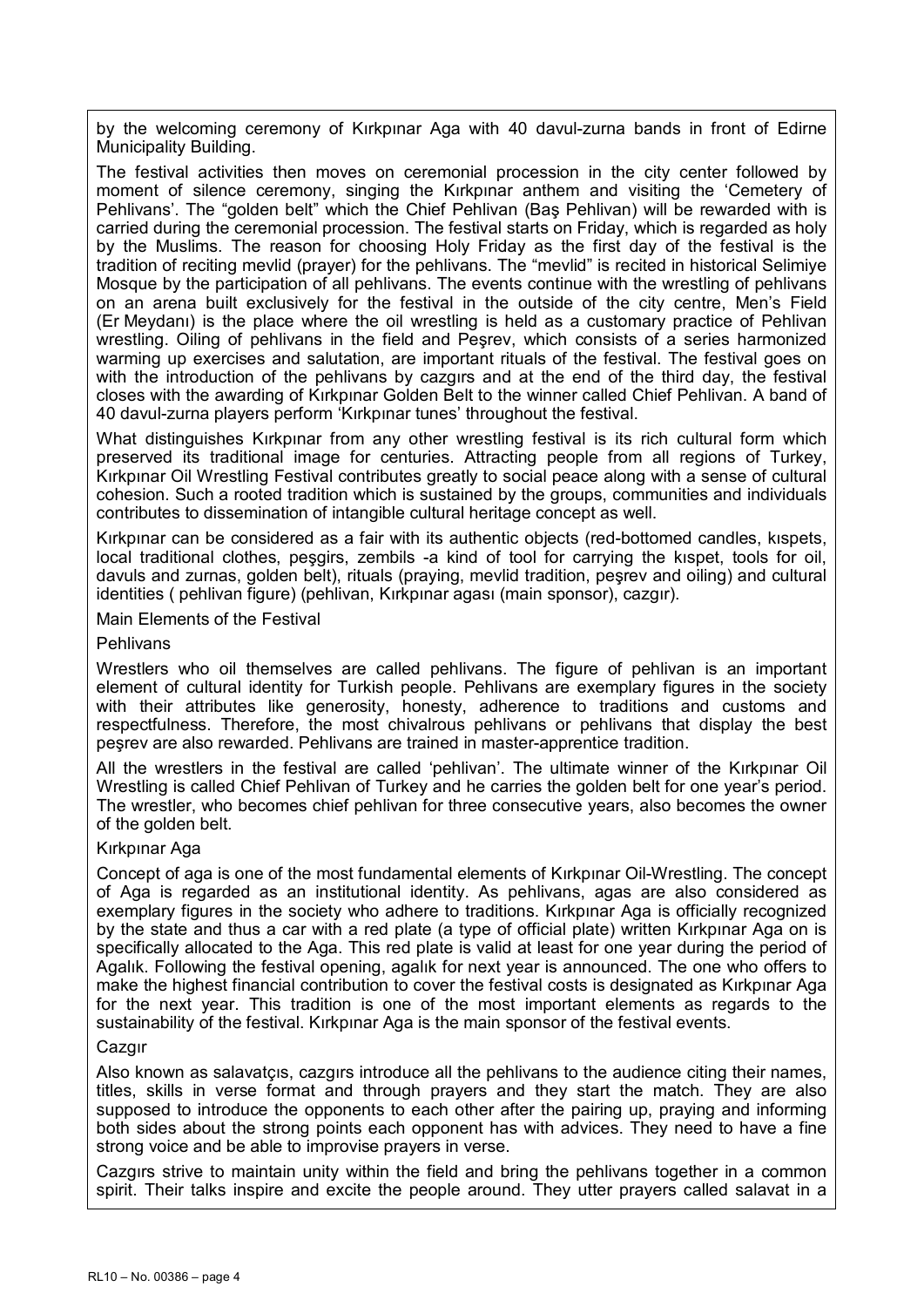by the welcoming ceremony of Kırkpınar Aga with 40 davul-zurna bands in front of Edirne Municipality Building.

The festival activities then moves on ceremonial procession in the city center followed by moment of silence ceremony, singing the Kırkpınar anthem and visiting the 'Cemetery of Pehlivans'. The "golden belt" which the Chief Pehlivan (Baş Pehlivan) will be rewarded with is carried during the ceremonial procession. The festival starts on Friday, which is regarded as holy by the Muslims. The reason for choosing Holy Friday as the first day of the festival is the tradition of reciting mevlid (prayer) for the pehlivans. The "mevlid" is recited in historical Selimiye Mosque by the participation of all pehlivans. The events continue with the wrestling of pehlivans on an arena built exclusively for the festival in the outside of the city centre, Men's Field (Er Meydanı) is the place where the oil wrestling is held as a customary practice of Pehlivan wrestling. Oiling of pehlivans in the field and Peşrev, which consists of a series harmonized warming up exercises and salutation, are important rituals of the festival. The festival goes on with the introduction of the pehlivans by cazgırs and at the end of the third day, the festival closes with the awarding of Kırkpınar Golden Belt to the winner called Chief Pehlivan. A band of 40 davul-zurna players perform 'Kırkpınar tunes' throughout the festival.

What distinguishes Kırkpınar from any other wrestling festival is its rich cultural form which preserved its traditional image for centuries. Attracting people from all regions of Turkey, Kırkpınar Oil Wrestling Festival contributes greatly to social peace along with a sense of cultural cohesion. Such a rooted tradition which is sustained by the groups, communities and individuals contributes to dissemination of intangible cultural heritage concept as well.

Kırkpınar can be considered as a fair with its authentic objects (red-bottomed candles, kıspets, local traditional clothes, peşgirs, zembils -a kind of tool for carrying the kıspet, tools for oil, davuls and zurnas, golden belt), rituals (praying, mevlid tradition, peşrev and oiling) and cultural identities ( pehlivan figure) (pehlivan, Kırkpınar agası (main sponsor), cazgır).

Main Elements of the Festival

#### Pehlivans

Wrestlers who oil themselves are called pehlivans. The figure of pehlivan is an important element of cultural identity for Turkish people. Pehlivans are exemplary figures in the society with their attributes like generosity, honesty, adherence to traditions and customs and respectfulness. Therefore, the most chivalrous pehlivans or pehlivans that display the best peşrev are also rewarded. Pehlivans are trained in master-apprentice tradition.

All the wrestlers in the festival are called 'pehlivan'. The ultimate winner of the Kırkpınar Oil Wrestling is called Chief Pehlivan of Turkey and he carries the golden belt for one year's period. The wrestler, who becomes chief pehlivan for three consecutive years, also becomes the owner of the golden belt.

### Kırkpınar Aga

Concept of aga is one of the most fundamental elements of Kırkpınar Oil-Wrestling. The concept of Aga is regarded as an institutional identity. As pehlivans, agas are also considered as exemplary figures in the society who adhere to traditions. Kırkpınar Aga is officially recognized by the state and thus a car with a red plate (a type of official plate) written Kırkpınar Aga on is specifically allocated to the Aga. This red plate is valid at least for one year during the period of Agalık. Following the festival opening, agalık for next year is announced. The one who offers to make the highest financial contribution to cover the festival costs is designated as Kırkpınar Aga for the next year. This tradition is one of the most important elements as regards to the sustainability of the festival. Kırkpınar Aga is the main sponsor of the festival events.

### Cazgır

Also known as salavatçıs, cazgırs introduce all the pehlivans to the audience citing their names, titles, skills in verse format and through prayers and they start the match. They are also supposed to introduce the opponents to each other after the pairing up, praying and informing both sides about the strong points each opponent has with advices. They need to have a fine strong voice and be able to improvise prayers in verse.

Cazgırs strive to maintain unity within the field and bring the pehlivans together in a common spirit. Their talks inspire and excite the people around. They utter prayers called salavat in a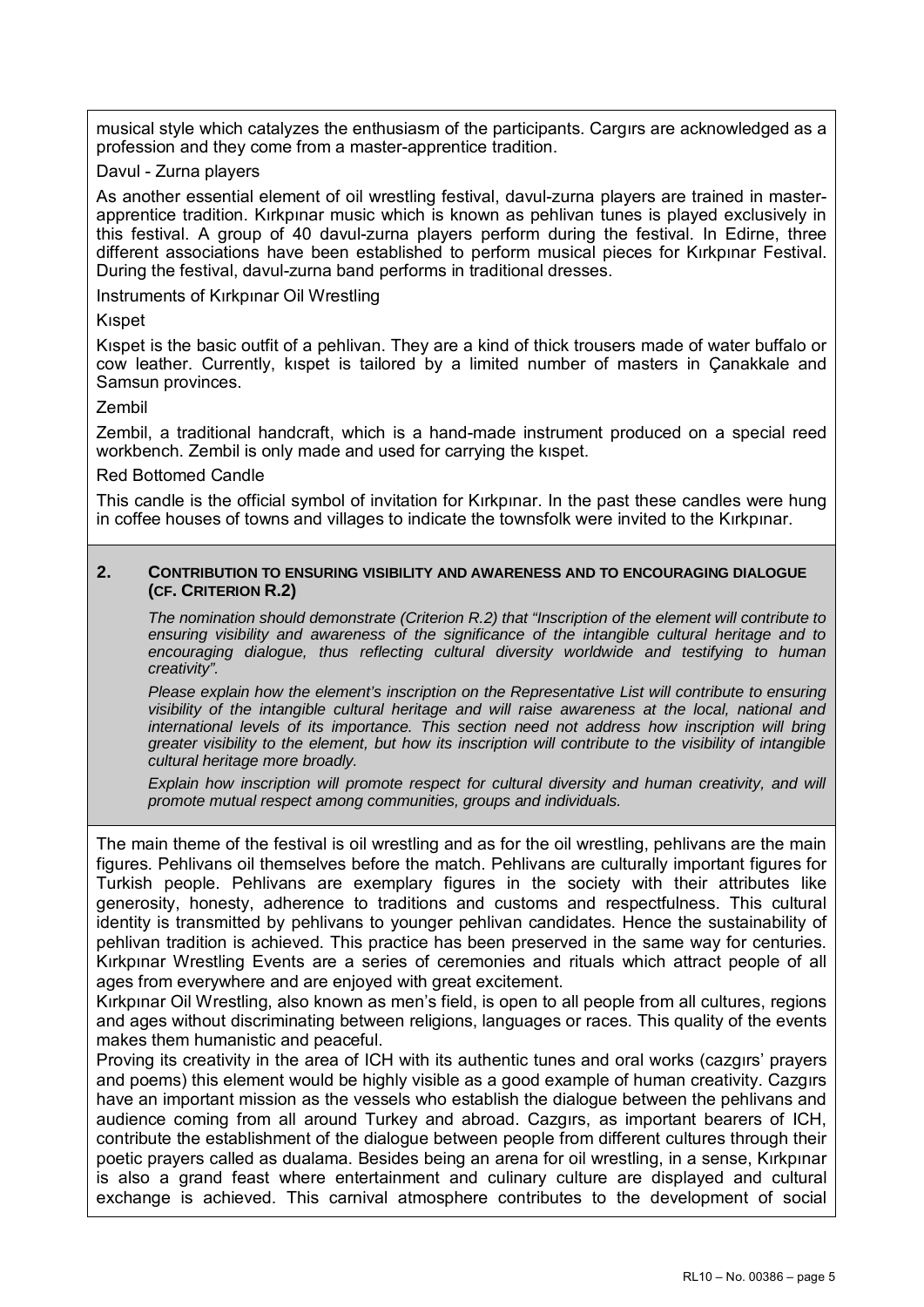musical style which catalyzes the enthusiasm of the participants. Cargırs are acknowledged as a profession and they come from a master-apprentice tradition.

### Davul - Zurna players

As another essential element of oil wrestling festival, davul-zurna players are trained in masterapprentice tradition. Kırkpınar music which is known as pehlivan tunes is played exclusively in this festival. A group of 40 davul-zurna players perform during the festival. In Edirne, three different associations have been established to perform musical pieces for Kırkpınar Festival. During the festival, davul-zurna band performs in traditional dresses.

Instruments of Kırkpınar Oil Wrestling

### Kıspet

Kıspet is the basic outfit of a pehlivan. They are a kind of thick trousers made of water buffalo or cow leather. Currently, kıspet is tailored by a limited number of masters in Çanakkale and Samsun provinces.

### Zembil

Zembil, a traditional handcraft, which is a hand-made instrument produced on a special reed workbench. Zembil is only made and used for carrying the kıspet.

### Red Bottomed Candle

This candle is the official symbol of invitation for Kırkpınar. In the past these candles were hung in coffee houses of towns and villages to indicate the townsfolk were invited to the Kırkpınar.

#### **2. CONTRIBUTION TO ENSURING VISIBILITY AND AWARENESS AND TO ENCOURAGING DIALOGUE (CF. CRITERION R.2)**

*The nomination should demonstrate (Criterion R.2) that "Inscription of the element will contribute to ensuring visibility and awareness of the significance of the intangible cultural heritage and to encouraging dialogue, thus reflecting cultural diversity worldwide and testifying to human creativity".* 

*Please explain how the element's inscription on the Representative List will contribute to ensuring visibility of the intangible cultural heritage and will raise awareness at the local, national and international levels of its importance. This section need not address how inscription will bring greater visibility to the element, but how its inscription will contribute to the visibility of intangible cultural heritage more broadly.* 

*Explain how inscription will promote respect for cultural diversity and human creativity, and will promote mutual respect among communities, groups and individuals.* 

The main theme of the festival is oil wrestling and as for the oil wrestling, pehlivans are the main figures. Pehlivans oil themselves before the match. Pehlivans are culturally important figures for Turkish people. Pehlivans are exemplary figures in the society with their attributes like generosity, honesty, adherence to traditions and customs and respectfulness. This cultural identity is transmitted by pehlivans to younger pehlivan candidates. Hence the sustainability of pehlivan tradition is achieved. This practice has been preserved in the same way for centuries. Kırkpınar Wrestling Events are a series of ceremonies and rituals which attract people of all ages from everywhere and are enjoyed with great excitement.

Kırkpınar Oil Wrestling, also known as men's field, is open to all people from all cultures, regions and ages without discriminating between religions, languages or races. This quality of the events makes them humanistic and peaceful.

Proving its creativity in the area of ICH with its authentic tunes and oral works (cazgırs' prayers and poems) this element would be highly visible as a good example of human creativity. Cazgırs have an important mission as the vessels who establish the dialogue between the pehlivans and audience coming from all around Turkey and abroad. Cazgırs, as important bearers of ICH, contribute the establishment of the dialogue between people from different cultures through their poetic prayers called as dualama. Besides being an arena for oil wrestling, in a sense, Kırkpınar is also a grand feast where entertainment and culinary culture are displayed and cultural exchange is achieved. This carnival atmosphere contributes to the development of social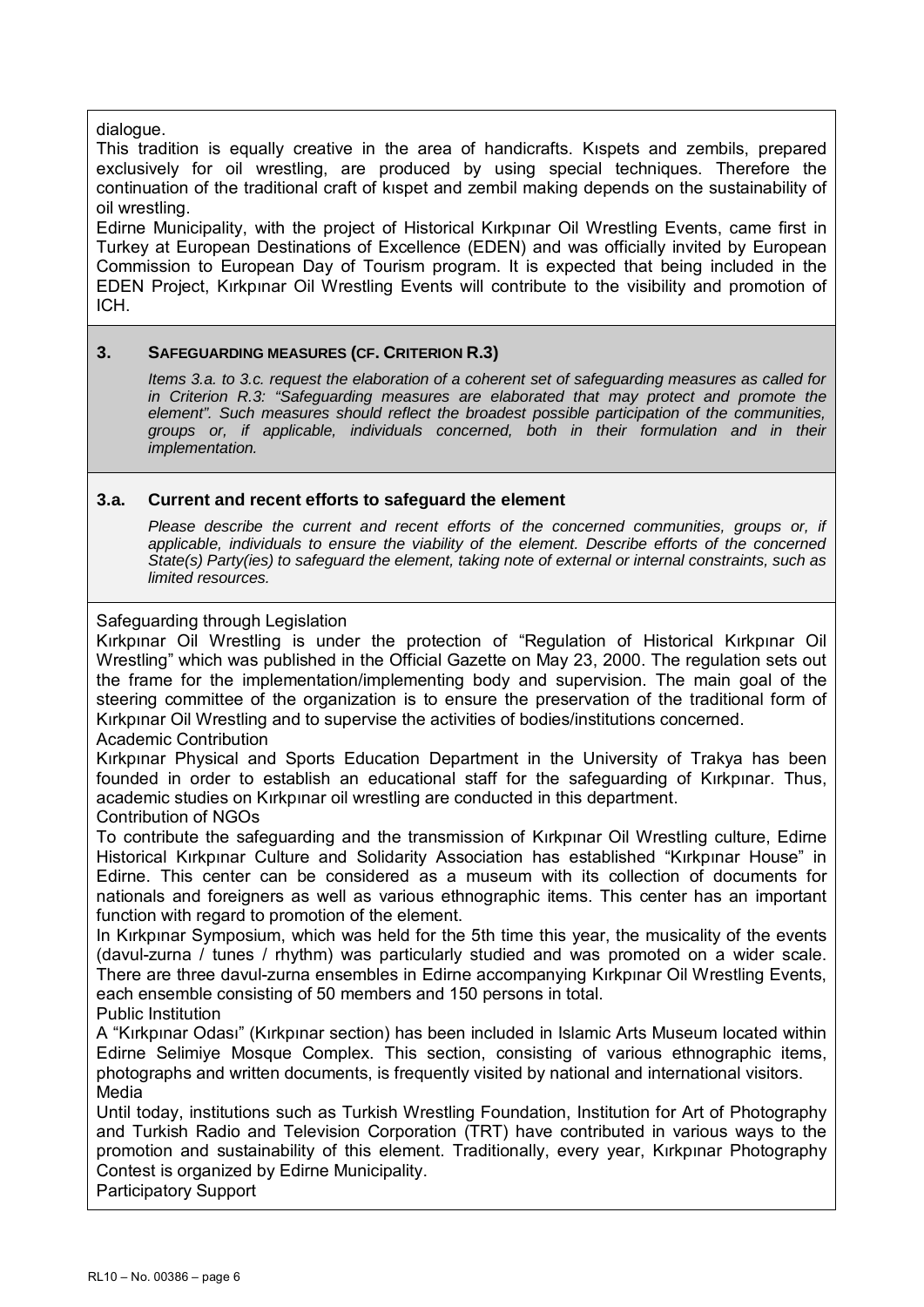dialogue.

This tradition is equally creative in the area of handicrafts. Kıspets and zembils, prepared exclusively for oil wrestling, are produced by using special techniques. Therefore the continuation of the traditional craft of kıspet and zembil making depends on the sustainability of oil wrestling.

Edirne Municipality, with the project of Historical Kırkpınar Oil Wrestling Events, came first in Turkey at European Destinations of Excellence (EDEN) and was officially invited by European Commission to European Day of Tourism program. It is expected that being included in the EDEN Project, Kırkpınar Oil Wrestling Events will contribute to the visibility and promotion of ICH.

# **3. SAFEGUARDING MEASURES (CF. CRITERION R.3)**

*Items 3.a. to 3.c. request the elaboration of a coherent set of safeguarding measures as called for in Criterion R.3: "Safeguarding measures are elaborated that may protect and promote the element". Such measures should reflect the broadest possible participation of the communities, groups or, if applicable, individuals concerned, both in their formulation and in their implementation.* 

### **3.a. Current and recent efforts to safeguard the element**

Please describe the current and recent efforts of the concerned communities, groups or, if *applicable, individuals to ensure the viability of the element. Describe efforts of the concerned State(s) Party(ies) to safeguard the element, taking note of external or internal constraints, such as limited resources.* 

### Safeguarding through Legislation

Kırkpınar Oil Wrestling is under the protection of "Regulation of Historical Kırkpınar Oil Wrestling" which was published in the Official Gazette on May 23, 2000. The regulation sets out the frame for the implementation/implementing body and supervision. The main goal of the steering committee of the organization is to ensure the preservation of the traditional form of Kırkpınar Oil Wrestling and to supervise the activities of bodies/institutions concerned. Academic Contribution

# Kırkpınar Physical and Sports Education Department in the University of Trakya has been founded in order to establish an educational staff for the safeguarding of Kırkpınar. Thus, academic studies on Kırkpınar oil wrestling are conducted in this department.

### Contribution of NGOs

To contribute the safeguarding and the transmission of Kırkpınar Oil Wrestling culture, Edirne Historical Kırkpınar Culture and Solidarity Association has established "Kırkpınar House" in Edirne. This center can be considered as a museum with its collection of documents for nationals and foreigners as well as various ethnographic items. This center has an important function with regard to promotion of the element.

In Kırkpınar Symposium, which was held for the 5th time this year, the musicality of the events (davul-zurna / tunes / rhythm) was particularly studied and was promoted on a wider scale. There are three davul-zurna ensembles in Edirne accompanying Kırkpınar Oil Wrestling Events, each ensemble consisting of 50 members and 150 persons in total. Public Institution

A "Kırkpınar Odası" (Kırkpınar section) has been included in Islamic Arts Museum located within

Edirne Selimiye Mosque Complex. This section, consisting of various ethnographic items, photographs and written documents, is frequently visited by national and international visitors. Media

Until today, institutions such as Turkish Wrestling Foundation, Institution for Art of Photography and Turkish Radio and Television Corporation (TRT) have contributed in various ways to the promotion and sustainability of this element. Traditionally, every year, Kırkpınar Photography Contest is organized by Edirne Municipality.

Participatory Support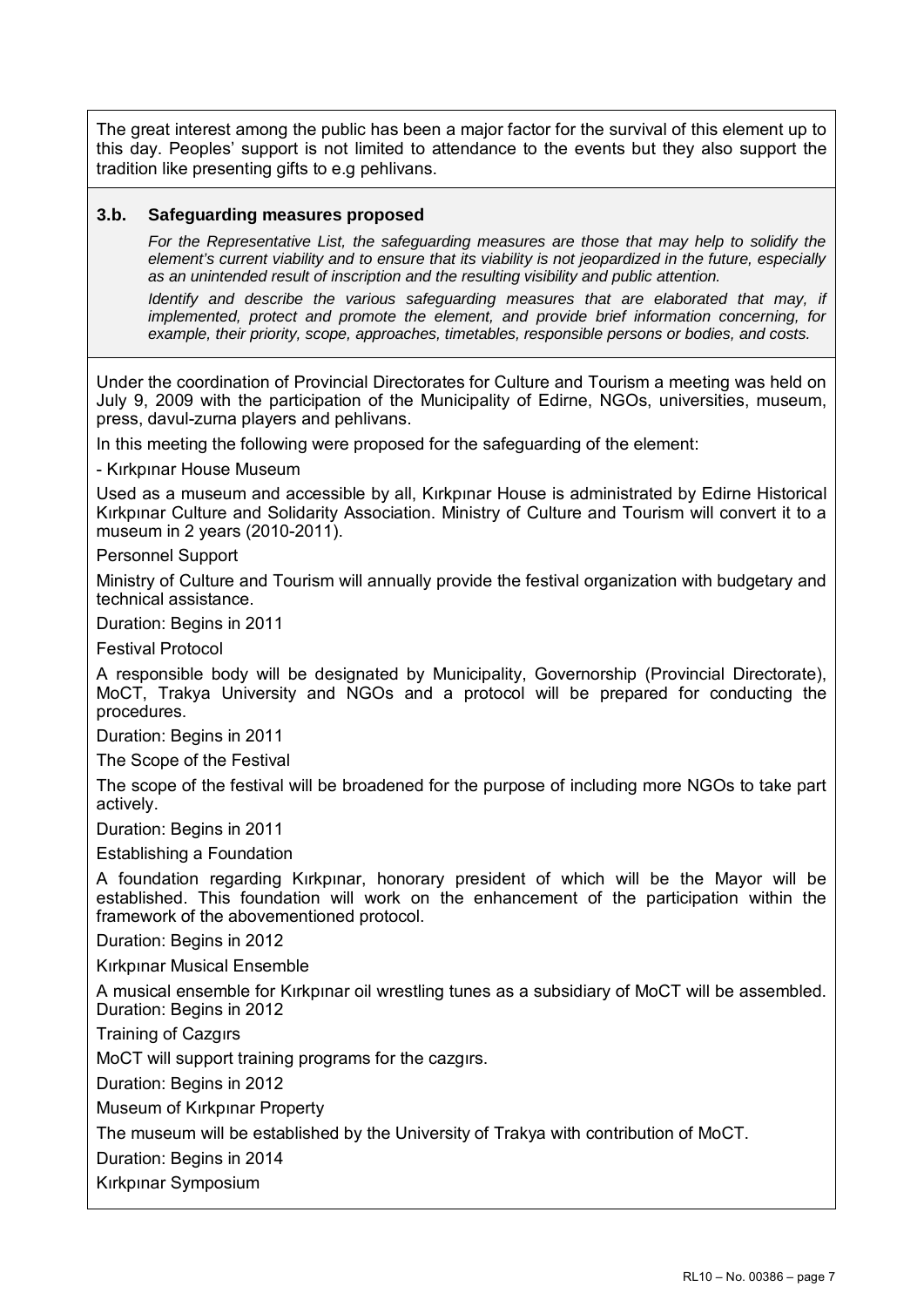The great interest among the public has been a major factor for the survival of this element up to this day. Peoples' support is not limited to attendance to the events but they also support the tradition like presenting gifts to e.g pehlivans.

# **3.b. Safeguarding measures proposed**

*For the Representative List, the safeguarding measures are those that may help to solidify the element's current viability and to ensure that its viability is not jeopardized in the future, especially as an unintended result of inscription and the resulting visibility and public attention.* 

*Identify and describe the various safeguarding measures that are elaborated that may, if implemented, protect and promote the element, and provide brief information concerning, for example, their priority, scope, approaches, timetables, responsible persons or bodies, and costs.* 

Under the coordination of Provincial Directorates for Culture and Tourism a meeting was held on July 9, 2009 with the participation of the Municipality of Edirne, NGOs, universities, museum, press, davul-zurna players and pehlivans.

In this meeting the following were proposed for the safeguarding of the element:

- Kırkpınar House Museum

Used as a museum and accessible by all, Kırkpınar House is administrated by Edirne Historical Kırkpınar Culture and Solidarity Association. Ministry of Culture and Tourism will convert it to a museum in 2 years (2010-2011).

Personnel Support

Ministry of Culture and Tourism will annually provide the festival organization with budgetary and technical assistance.

Duration: Begins in 2011

Festival Protocol

A responsible body will be designated by Municipality, Governorship (Provincial Directorate), MoCT, Trakya University and NGOs and a protocol will be prepared for conducting the procedures.

Duration: Begins in 2011

The Scope of the Festival

The scope of the festival will be broadened for the purpose of including more NGOs to take part actively.

Duration: Begins in 2011

Establishing a Foundation

A foundation regarding Kırkpınar, honorary president of which will be the Mayor will be established. This foundation will work on the enhancement of the participation within the framework of the abovementioned protocol.

Duration: Begins in 2012

Kırkpınar Musical Ensemble

A musical ensemble for Kırkpınar oil wrestling tunes as a subsidiary of MoCT will be assembled. Duration: Begins in 2012

Training of Cazgırs

MoCT will support training programs for the cazgırs.

Duration: Begins in 2012

Museum of Kırkpınar Property

The museum will be established by the University of Trakya with contribution of MoCT.

Duration: Begins in 2014

Kırkpınar Symposium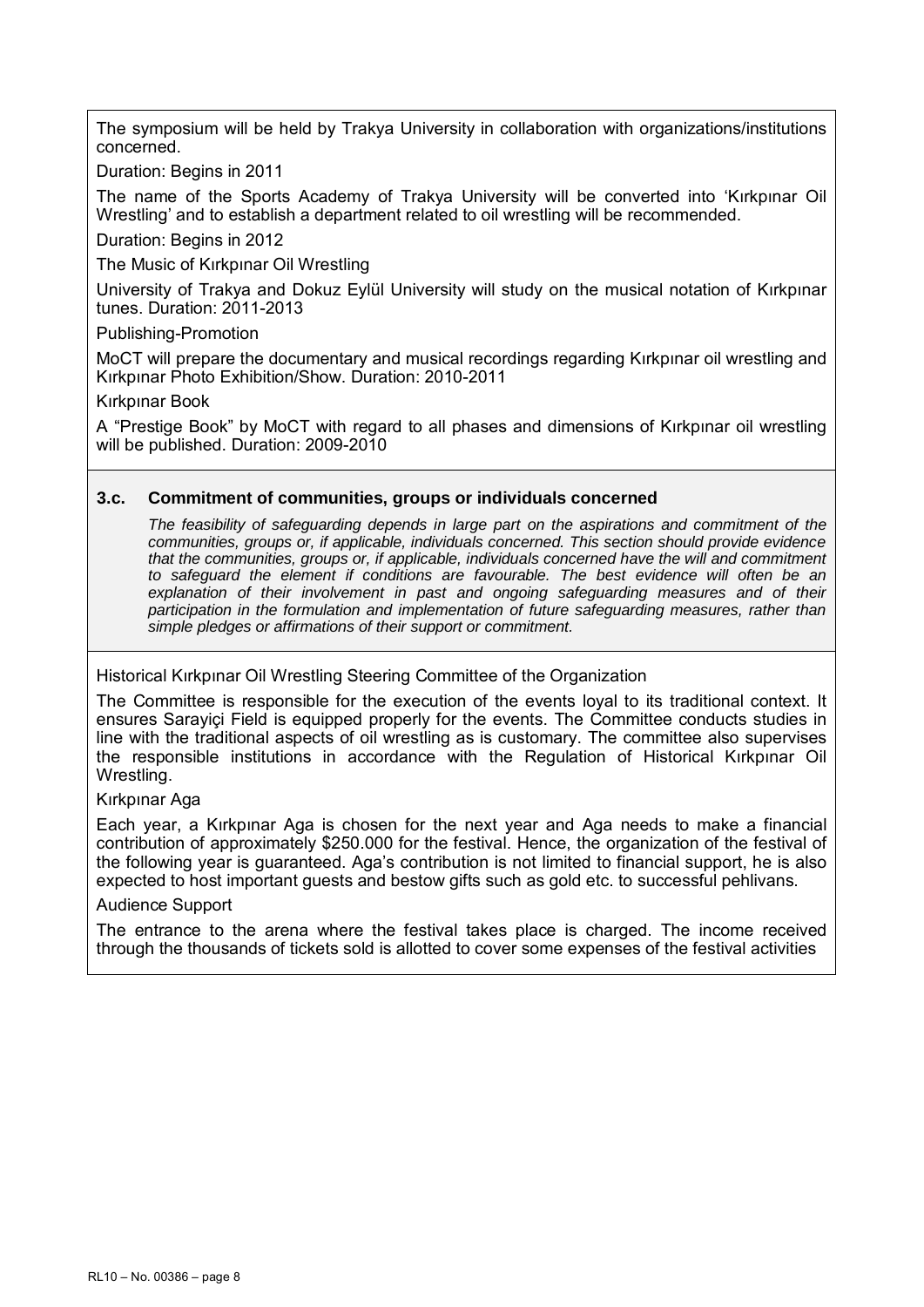The symposium will be held by Trakya University in collaboration with organizations/institutions concerned.

Duration: Begins in 2011

The name of the Sports Academy of Trakya University will be converted into 'Kırkpınar Oil Wrestling' and to establish a department related to oil wrestling will be recommended.

Duration: Begins in 2012

The Music of Kırkpınar Oil Wrestling

University of Trakya and Dokuz Eylül University will study on the musical notation of Kırkpınar tunes. Duration: 2011-2013

Publishing-Promotion

MoCT will prepare the documentary and musical recordings regarding Kırkpınar oil wrestling and Kırkpınar Photo Exhibition/Show. Duration: 2010-2011

Kırkpınar Book

A "Prestige Book" by MoCT with regard to all phases and dimensions of Kırkpınar oil wrestling will be published. Duration: 2009-2010

### **3.c. Commitment of communities, groups or individuals concerned**

*The feasibility of safeguarding depends in large part on the aspirations and commitment of the communities, groups or, if applicable, individuals concerned. This section should provide evidence that the communities, groups or, if applicable, individuals concerned have the will and commitment to safeguard the element if conditions are favourable. The best evidence will often be an*  explanation of their involvement in past and ongoing safeguarding measures and of their *participation in the formulation and implementation of future safeguarding measures, rather than simple pledges or affirmations of their support or commitment.* 

Historical Kırkpınar Oil Wrestling Steering Committee of the Organization

The Committee is responsible for the execution of the events loyal to its traditional context. It ensures Sarayiçi Field is equipped properly for the events. The Committee conducts studies in line with the traditional aspects of oil wrestling as is customary. The committee also supervises the responsible institutions in accordance with the Regulation of Historical Kırkpınar Oil Wrestling.

Kırkpınar Aga

Each year, a Kırkpınar Aga is chosen for the next year and Aga needs to make a financial contribution of approximately \$250.000 for the festival. Hence, the organization of the festival of the following year is guaranteed. Aga's contribution is not limited to financial support, he is also expected to host important guests and bestow gifts such as gold etc. to successful pehlivans.

Audience Support

The entrance to the arena where the festival takes place is charged. The income received through the thousands of tickets sold is allotted to cover some expenses of the festival activities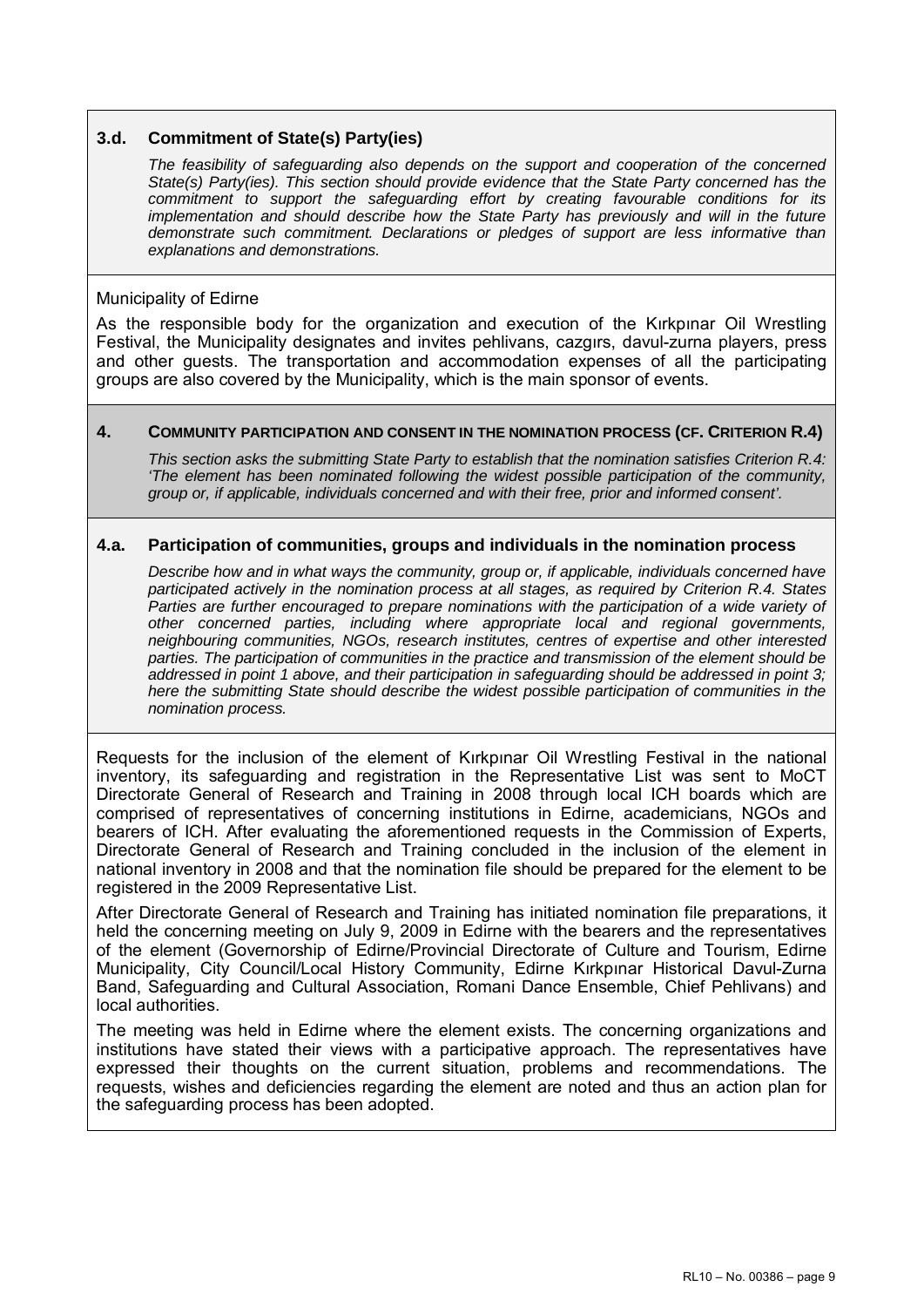# **3.d. Commitment of State(s) Party(ies)**

*The feasibility of safeguarding also depends on the support and cooperation of the concerned State(s) Party(ies). This section should provide evidence that the State Party concerned has the commitment to support the safeguarding effort by creating favourable conditions for its implementation and should describe how the State Party has previously and will in the future demonstrate such commitment. Declarations or pledges of support are less informative than explanations and demonstrations.* 

### Municipality of Edirne

As the responsible body for the organization and execution of the Kırkpınar Oil Wrestling Festival, the Municipality designates and invites pehlivans, cazgırs, davul-zurna players, press and other guests. The transportation and accommodation expenses of all the participating groups are also covered by the Municipality, which is the main sponsor of events.

### **4. COMMUNITY PARTICIPATION AND CONSENT IN THE NOMINATION PROCESS (CF. CRITERION R.4)**

*This section asks the submitting State Party to establish that the nomination satisfies Criterion R.4: 'The element has been nominated following the widest possible participation of the community, group or, if applicable, individuals concerned and with their free, prior and informed consent'.* 

### **4.a. Participation of communities, groups and individuals in the nomination process**

*Describe how and in what ways the community, group or, if applicable, individuals concerned have participated actively in the nomination process at all stages, as required by Criterion R.4. States*  Parties are further encouraged to prepare nominations with the participation of a wide variety of *other concerned parties, including where appropriate local and regional governments, neighbouring communities, NGOs, research institutes, centres of expertise and other interested parties. The participation of communities in the practice and transmission of the element should be addressed in point 1 above, and their participation in safeguarding should be addressed in point 3; here the submitting State should describe the widest possible participation of communities in the nomination process.* 

Requests for the inclusion of the element of Kırkpınar Oil Wrestling Festival in the national inventory, its safeguarding and registration in the Representative List was sent to MoCT Directorate General of Research and Training in 2008 through local ICH boards which are comprised of representatives of concerning institutions in Edirne, academicians, NGOs and bearers of ICH. After evaluating the aforementioned requests in the Commission of Experts, Directorate General of Research and Training concluded in the inclusion of the element in national inventory in 2008 and that the nomination file should be prepared for the element to be registered in the 2009 Representative List.

After Directorate General of Research and Training has initiated nomination file preparations, it held the concerning meeting on July 9, 2009 in Edirne with the bearers and the representatives of the element (Governorship of Edirne/Provincial Directorate of Culture and Tourism, Edirne Municipality, City Council/Local History Community, Edirne Kırkpınar Historical Davul-Zurna Band, Safeguarding and Cultural Association, Romani Dance Ensemble, Chief Pehlivans) and local authorities.

The meeting was held in Edirne where the element exists. The concerning organizations and institutions have stated their views with a participative approach. The representatives have expressed their thoughts on the current situation, problems and recommendations. The requests, wishes and deficiencies regarding the element are noted and thus an action plan for the safeguarding process has been adopted.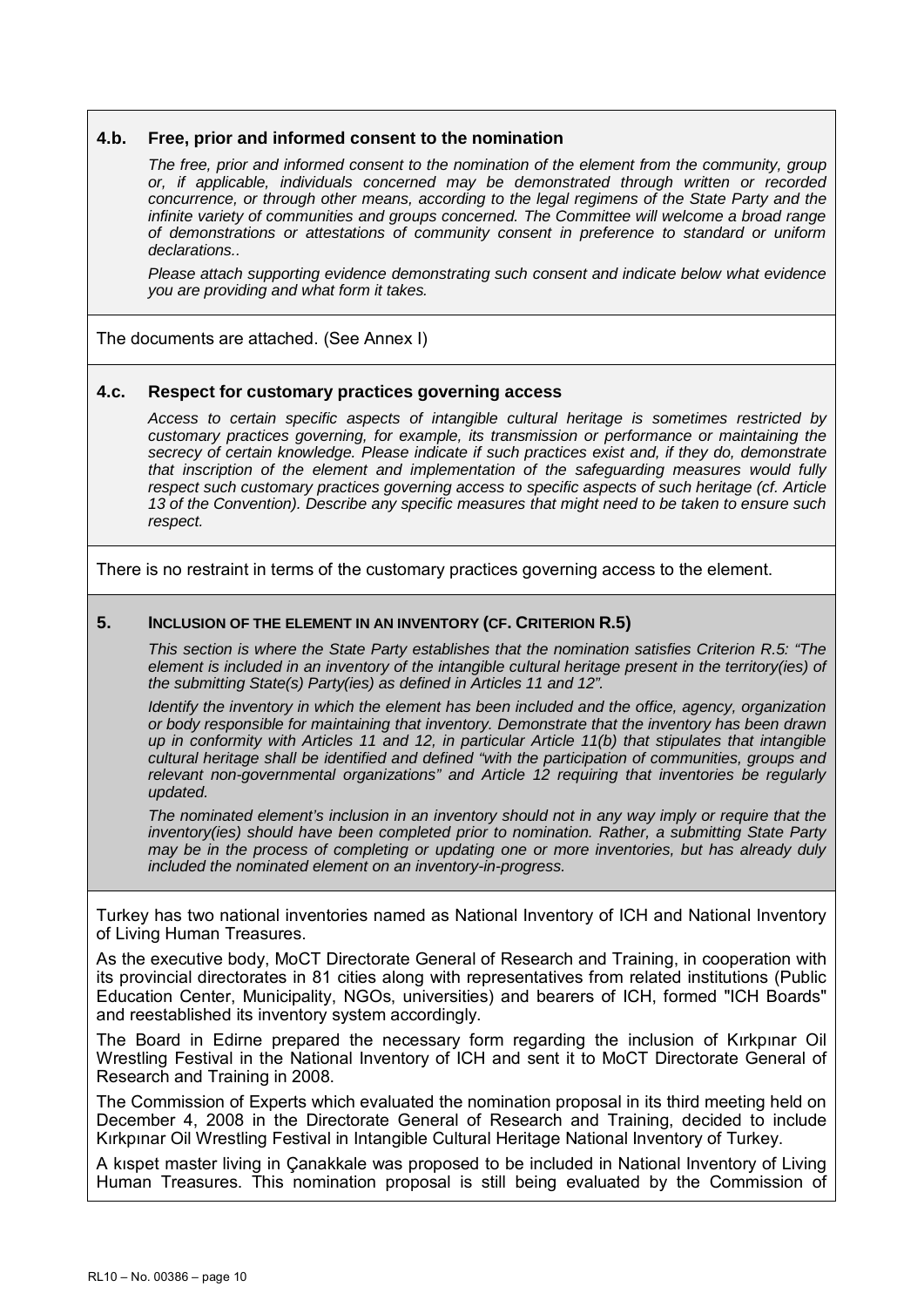#### **4.b. Free, prior and informed consent to the nomination**

*The free, prior and informed consent to the nomination of the element from the community, group or, if applicable, individuals concerned may be demonstrated through written or recorded concurrence, or through other means, according to the legal regimens of the State Party and the infinite variety of communities and groups concerned. The Committee will welcome a broad range of demonstrations or attestations of community consent in preference to standard or uniform declarations..* 

*Please attach supporting evidence demonstrating such consent and indicate below what evidence you are providing and what form it takes.* 

The documents are attached. (See Annex I)

#### **4.c. Respect for customary practices governing access**

*Access to certain specific aspects of intangible cultural heritage is sometimes restricted by customary practices governing, for example, its transmission or performance or maintaining the secrecy of certain knowledge. Please indicate if such practices exist and, if they do, demonstrate that inscription of the element and implementation of the safeguarding measures would fully respect such customary practices governing access to specific aspects of such heritage (cf. Article 13 of the Convention). Describe any specific measures that might need to be taken to ensure such respect.* 

There is no restraint in terms of the customary practices governing access to the element.

#### **5. INCLUSION OF THE ELEMENT IN AN INVENTORY (CF. CRITERION R.5)**

*This section is where the State Party establishes that the nomination satisfies Criterion R.5: "The element is included in an inventory of the intangible cultural heritage present in the territory(ies) of the submitting State(s) Party(ies) as defined in Articles 11 and 12".* 

*Identify the inventory in which the element has been included and the office, agency, organization or body responsible for maintaining that inventory. Demonstrate that the inventory has been drawn up in conformity with Articles 11 and 12, in particular Article 11(b) that stipulates that intangible cultural heritage shall be identified and defined "with the participation of communities, groups and relevant non-governmental organizations" and Article 12 requiring that inventories be regularly updated.* 

*The nominated element's inclusion in an inventory should not in any way imply or require that the inventory(ies) should have been completed prior to nomination. Rather, a submitting State Party may be in the process of completing or updating one or more inventories, but has already duly included the nominated element on an inventory-in-progress.* 

Turkey has two national inventories named as National Inventory of ICH and National Inventory of Living Human Treasures.

As the executive body, MoCT Directorate General of Research and Training, in cooperation with its provincial directorates in 81 cities along with representatives from related institutions (Public Education Center, Municipality, NGOs, universities) and bearers of ICH, formed "ICH Boards" and reestablished its inventory system accordingly.

The Board in Edirne prepared the necessary form regarding the inclusion of Kırkpınar Oil Wrestling Festival in the National Inventory of ICH and sent it to MoCT Directorate General of Research and Training in 2008.

The Commission of Experts which evaluated the nomination proposal in its third meeting held on December 4, 2008 in the Directorate General of Research and Training, decided to include Kırkpınar Oil Wrestling Festival in Intangible Cultural Heritage National Inventory of Turkey.

A kıspet master living in Çanakkale was proposed to be included in National Inventory of Living Human Treasures. This nomination proposal is still being evaluated by the Commission of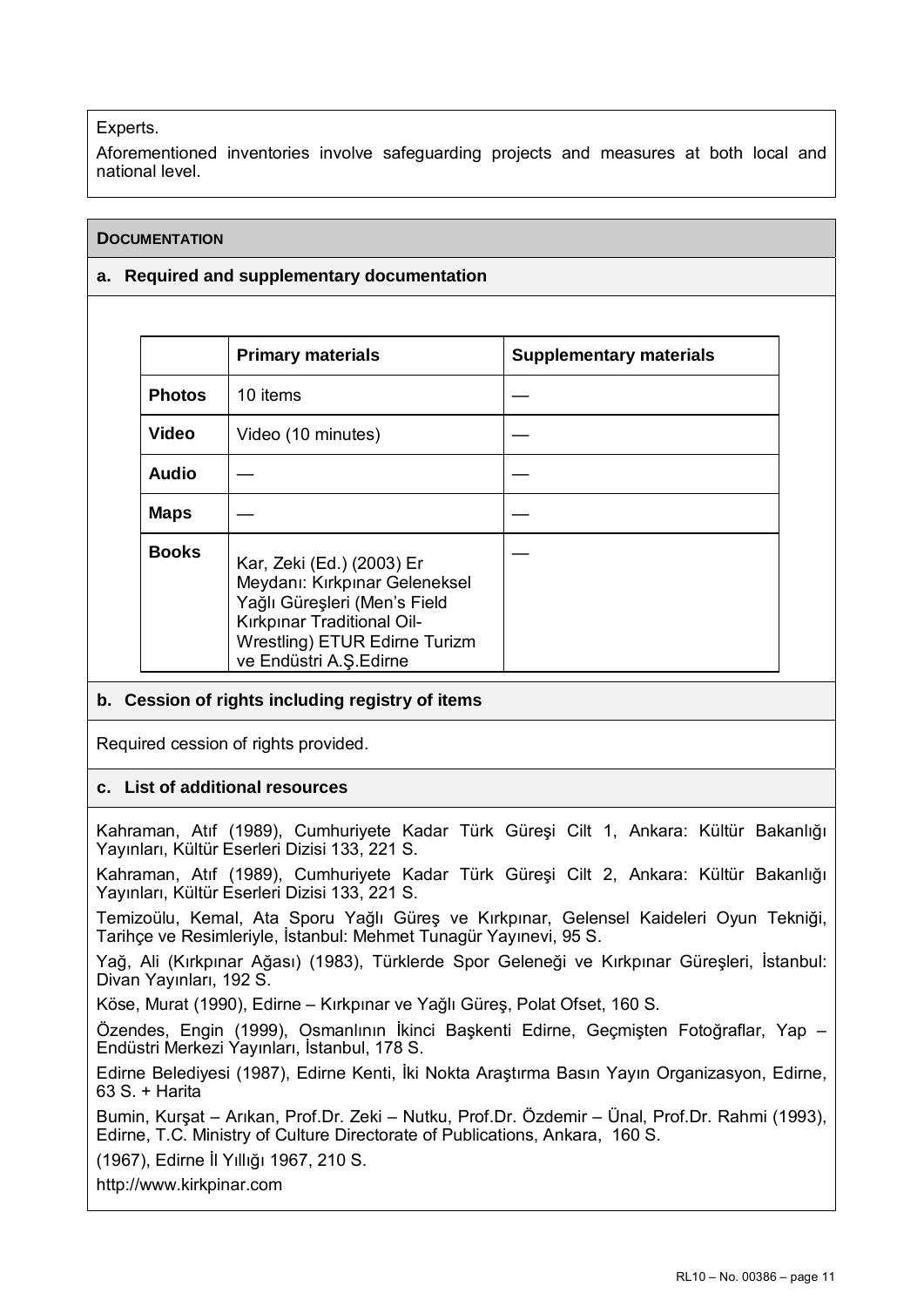# Experts.

Aforementioned inventories involve safeguarding projects and measures at both local and national level.

# **DOCUMENTATION**

# **a. Required and supplementary documentation**

|               | <b>Primary materials</b>                                                                                                                                                            | <b>Supplementary materials</b> |
|---------------|-------------------------------------------------------------------------------------------------------------------------------------------------------------------------------------|--------------------------------|
| <b>Photos</b> | 10 items                                                                                                                                                                            |                                |
| <b>Video</b>  | Video (10 minutes)                                                                                                                                                                  |                                |
| <b>Audio</b>  |                                                                                                                                                                                     |                                |
| <b>Maps</b>   |                                                                                                                                                                                     |                                |
| <b>Books</b>  | Kar, Zeki (Ed.) (2003) Er<br>Meydanı: Kırkpınar Geleneksel<br>Yağlı Güreşleri (Men's Field<br>Kırkpınar Traditional Oil-<br>Wrestling) ETUR Edirne Turizm<br>ve Endüstri A.Ş.Edirne |                                |

# **b. Cession of rights including registry of items**

Required cession of rights provided.

# **c. List of additional resources**

Kahraman, Atıf (1989), Cumhuriyete Kadar Türk Güreşi Cilt 1, Ankara: Kültür Bakanlığı Yayınları, Kültür Eserleri Dizisi 133, 221 S.

Kahraman, Atıf (1989), Cumhuriyete Kadar Türk Güreşi Cilt 2, Ankara: Kültür Bakanlığı Yayınları, Kültür Eserleri Dizisi 133, 221 S.

Temizoülu, Kemal, Ata Sporu Yağlı Güreş ve Kırkpınar, Gelensel Kaideleri Oyun Tekniği, Tarihçe ve Resimleriyle, İstanbul: Mehmet Tunagür Yayınevi, 95 S.

Yağ, Ali (Kırkpınar Ağası) (1983), Türklerde Spor Geleneği ve Kırkpınar Güreşleri, İstanbul: Divan Yayınları, 192 S.

Köse, Murat (1990), Edirne – Kırkpınar ve Yağlı Güreş, Polat Ofset, 160 S.

Özendes, Engin (1999), Osmanlının İkinci Başkenti Edirne, Geçmişten Fotoğraflar, Yap – Endüstri Merkezi Yayınları, İstanbul, 178 S.

Edirne Belediyesi (1987), Edirne Kenti, İki Nokta Araştırma Basın Yayın Organizasyon, Edirne, 63 S. + Harita

Bumin, Kurşat – Arıkan, Prof.Dr. Zeki – Nutku, Prof.Dr. Özdemir – Ünal, Prof.Dr. Rahmi (1993), Edirne, T.C. Ministry of Culture Directorate of Publications, Ankara, 160 S.

(1967), Edirne İl Yıllığı 1967, 210 S.

http://www.kirkpinar.com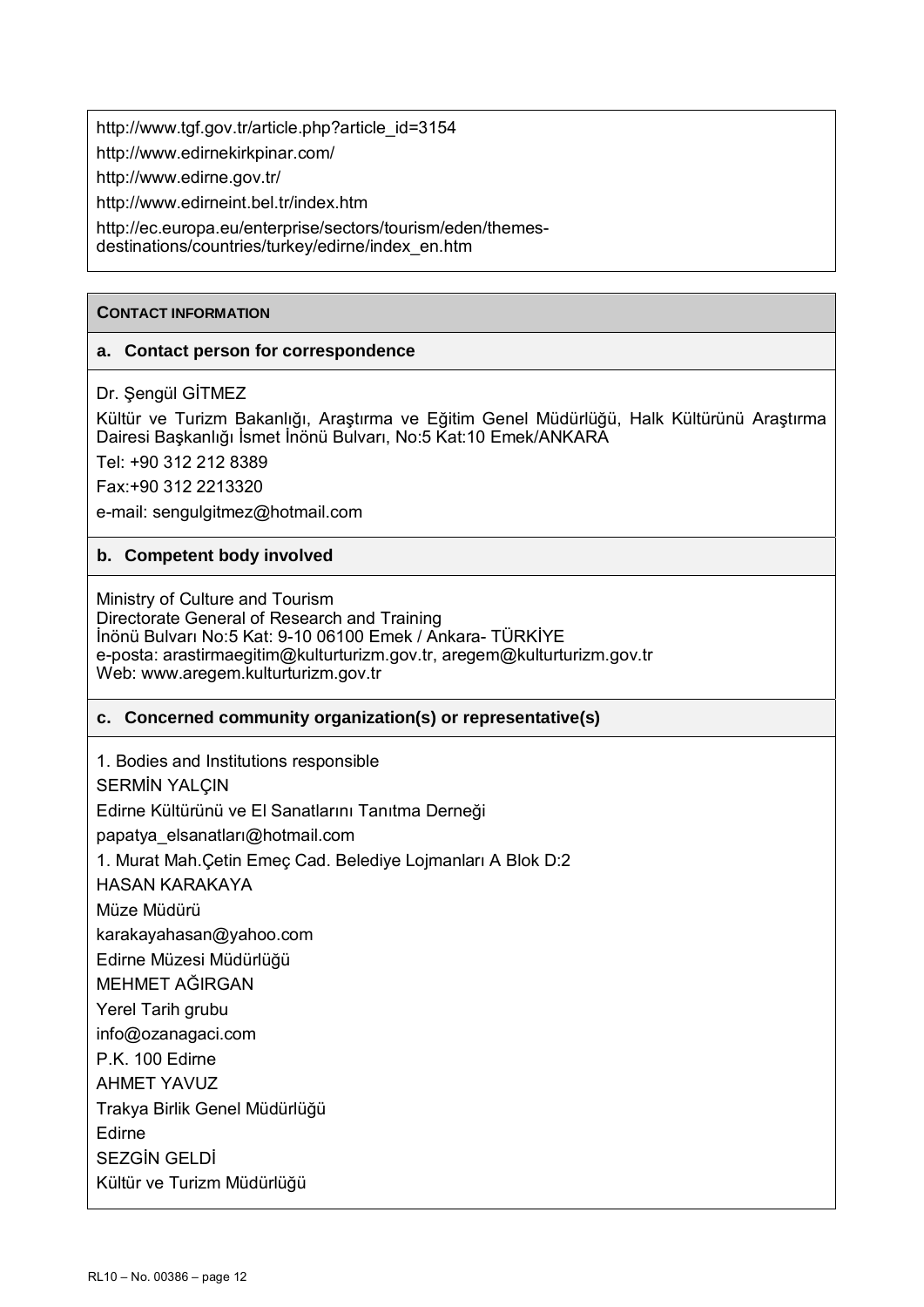http://www.tgf.gov.tr/article.php?article\_id=3154

http://www.edirnekirkpinar.com/

http://www.edirne.gov.tr/

http://www.edirneint.bel.tr/index.htm

http://ec.europa.eu/enterprise/sectors/tourism/eden/themes-

destinations/countries/turkey/edirne/index\_en.htm

### **CONTACT INFORMATION**

# **a. Contact person for correspondence**

# Dr. Şengül GİTMEZ

Kültür ve Turizm Bakanlığı, Araştırma ve Eğitim Genel Müdürlüğü, Halk Kültürünü Araştırma Dairesi Başkanlığı İsmet İnönü Bulvarı, No:5 Kat:10 Emek/ANKARA

Tel: +90 312 212 8389

Fax:+90 312 2213320

e-mail: sengulgitmez@hotmail.com

# **b. Competent body involved**

Ministry of Culture and Tourism Directorate General of Research and Training İnönü Bulvarı No:5 Kat: 9-10 06100 Emek / Ankara- TÜRKİYE e-posta: arastirmaegitim@kulturturizm.gov.tr, aregem@kulturturizm.gov.tr Web: www.aregem.kulturturizm.gov.tr

# **c. Concerned community organization(s) or representative(s)**

1. Bodies and Institutions responsible

SERMİN YALÇIN

Edirne Kültürünü ve El Sanatlarını Tanıtma Derneği

papatya elsanatları@hotmail.com

1. Murat Mah.Çetin Emeç Cad. Belediye Lojmanları A Blok D:2

HASAN KARAKAYA

Müze Müdürü

karakayahasan@yahoo.com

Edirne Müzesi Müdürlüğü

MEHMET AĞIRGAN

Yerel Tarih grubu

info@ozanagaci.com

P.K. 100 Edirne

AHMET YAVUZ

Trakya Birlik Genel Müdürlüğü

Edirne

SEZGİN GELDİ

Kültür ve Turizm Müdürlüğü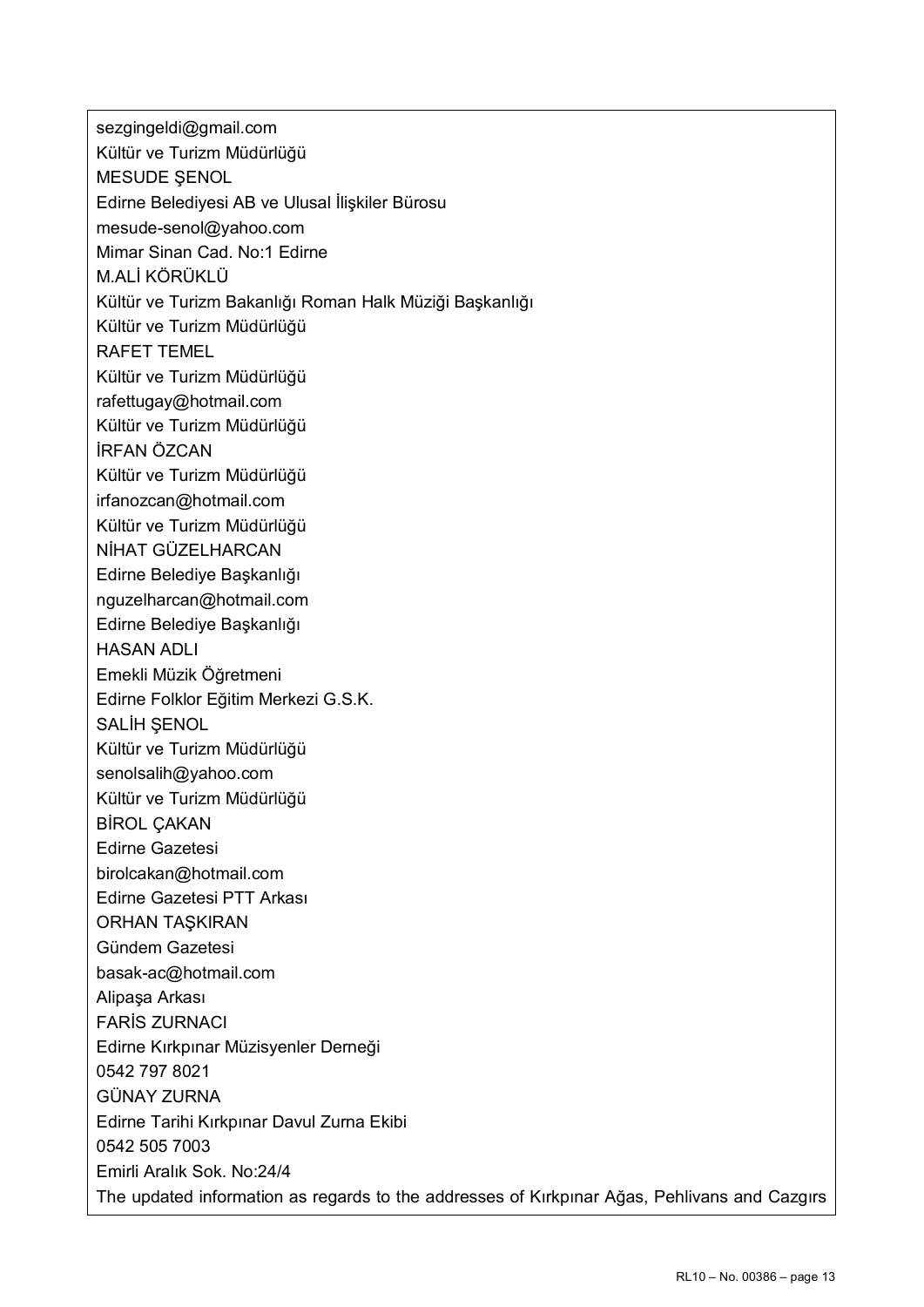sezgingeldi@gmail.com Kültür ve Turizm Müdürlüğü MESUDE ŞENOL Edirne Belediyesi AB ve Ulusal İlişkiler Bürosu mesude-senol@yahoo.com Mimar Sinan Cad. No:1 Edirne M.ALİ KÖRÜKLÜ Kültür ve Turizm Bakanlığı Roman Halk Müziği Başkanlığı Kültür ve Turizm Müdürlüğü RAFET TEMEL Kültür ve Turizm Müdürlüğü rafettugay@hotmail.com Kültür ve Turizm Müdürlüğü İRFAN ÖZCAN Kültür ve Turizm Müdürlüğü irfanozcan@hotmail.com Kültür ve Turizm Müdürlüğü NİHAT GÜZELHARCAN Edirne Belediye Başkanlığı nguzelharcan@hotmail.com Edirne Belediye Başkanlığı HASAN ADLI Emekli Müzik Öğretmeni Edirne Folklor Eğitim Merkezi G.S.K. SALİH SENOL Kültür ve Turizm Müdürlüğü senolsalih@yahoo.com Kültür ve Turizm Müdürlüğü BİROL ÇAKAN Edirne Gazetesi birolcakan@hotmail.com Edirne Gazetesi PTT Arkası ORHAN TAŞKIRAN Gündem Gazetesi basak-ac@hotmail.com Alipaşa Arkası FARİS ZURNACI Edirne Kırkpınar Müzisyenler Derneği 0542 797 8021 GÜNAY ZURNA Edirne Tarihi Kırkpınar Davul Zurna Ekibi 0542 505 7003 Emirli Aralık Sok. No:24/4 The updated information as regards to the addresses of Kırkpınar Ağas, Pehlivans and Cazgırs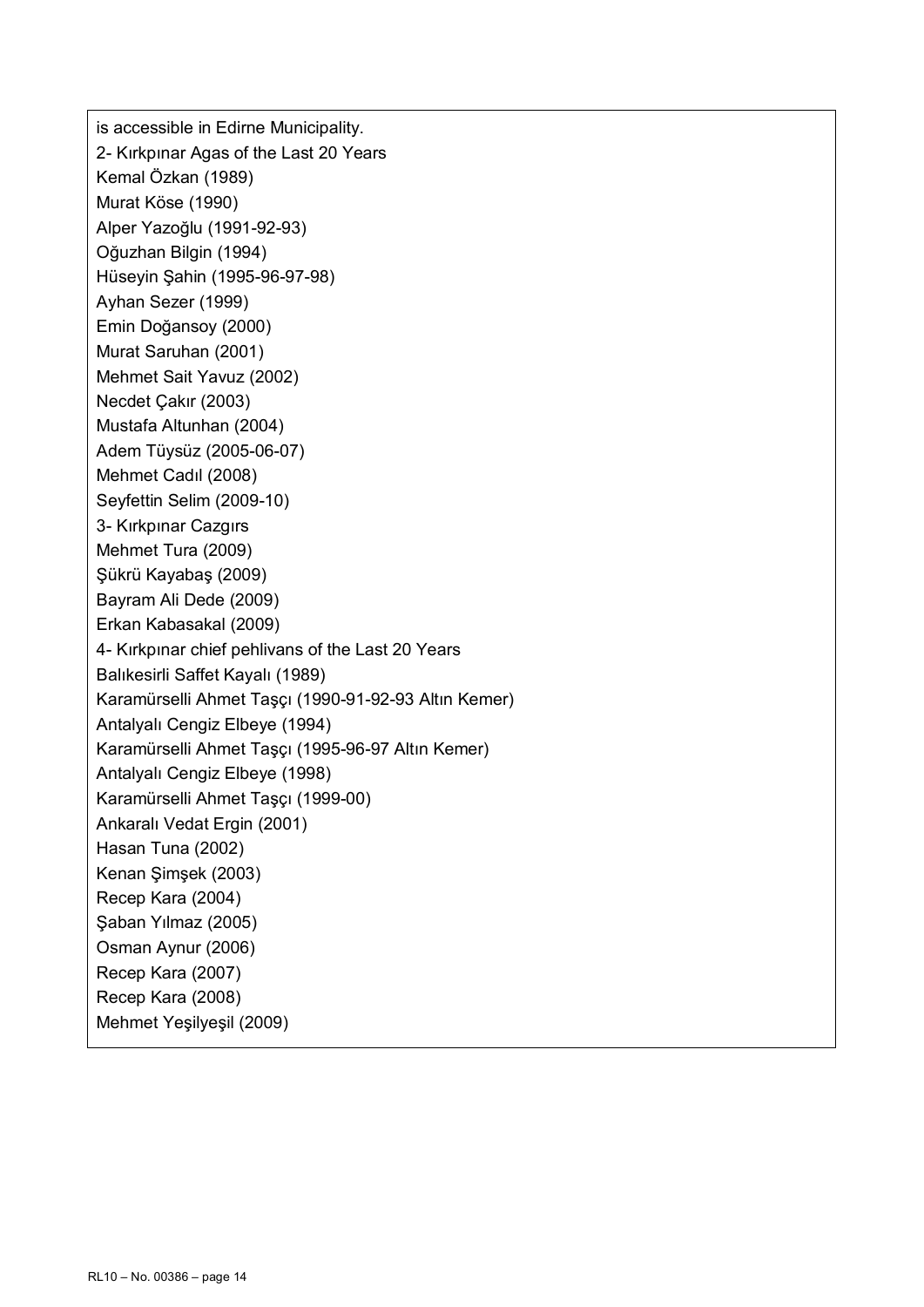is accessible in Edirne Municipality. 2- Kırkpınar Agas of the Last 20 Years Kemal Özkan (1989) Murat Köse (1990) Alper Yazoğlu (1991-92-93) Oğuzhan Bilgin (1994) Hüseyin Şahin (1995-96-97-98) Ayhan Sezer (1999) Emin Doğansoy (2000) Murat Saruhan (2001) Mehmet Sait Yavuz (2002) Necdet Çakır (2003) Mustafa Altunhan (2004) Adem Tüysüz (2005-06-07) Mehmet Cadıl (2008) Seyfettin Selim (2009-10) 3- Kırkpınar Cazgırs Mehmet Tura (2009) Şükrü Kayabaş (2009) Bayram Ali Dede (2009) Erkan Kabasakal (2009) 4- Kırkpınar chief pehlivans of the Last 20 Years Balıkesirli Saffet Kayalı (1989) Karamürselli Ahmet Taşçı (1990-91-92-93 Altın Kemer) Antalyalı Cengiz Elbeye (1994) Karamürselli Ahmet Taşçı (1995-96-97 Altın Kemer) Antalyalı Cengiz Elbeye (1998) Karamürselli Ahmet Taşçı (1999-00) Ankaralı Vedat Ergin (2001) Hasan Tuna (2002) Kenan Şimşek (2003) Recep Kara (2004) Şaban Yılmaz (2005) Osman Aynur (2006) Recep Kara (2007) Recep Kara (2008) Mehmet Yeşilyeşil (2009)